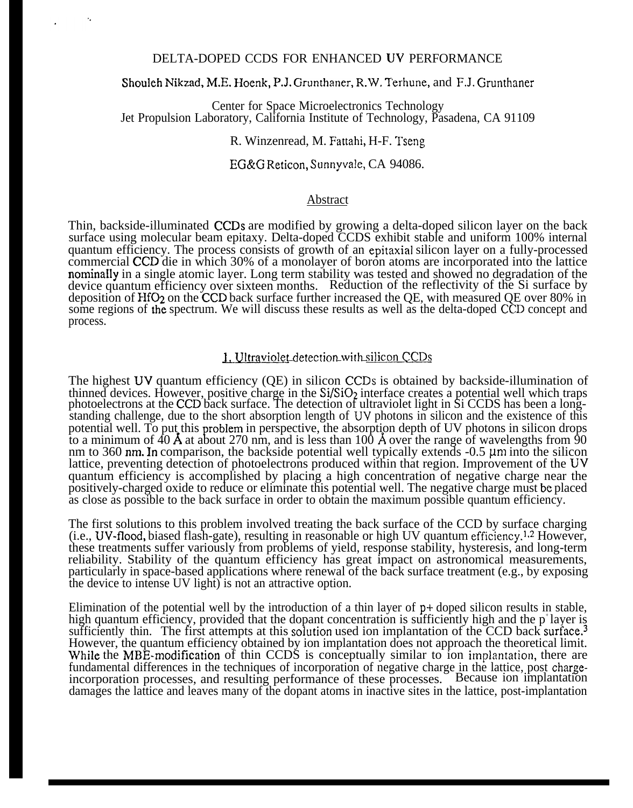### DELTA-DOPED CCDS FOR ENHANCED UV PERFORMANCE

#### Shouleh Nikzad, M.E. Hoenk, P.J. Grunthaner, R.W. T'erhune, and F.J. Grunthaner

Center for Space Microelectronics Technology Jet Propulsion Laboratory, California Institute of Technology, Pasadena, CA 91109

R. Winzenread, M. Fattahi, H-F. Tseng

#### EG&G Reticon, Sunnyvale, CA 94086.

#### Abstract

Thin, backside-illuminated CCDS are modified by growing a delta-doped silicon layer on the back surface using molecular beam epitaxy. Delta-doped CCDS exhibit stable and uniform 100% internal quantum efficiency. The process consists of growth of an epitaxial silicon layer on a fully-processed commercial CCD die in which 30% of a monolayer of boron atoms are incorporated into the lattice nominaI1y in a single atomic layer. Long term stability was tested and showed no degradation of the device quantum efficiency over sixteen months. Reduction of the reflectivity of the Si surface by deposition of HfO<sub>2</sub> on the CCD back surface further increased the QE, with measured QE over 80% in some regions of the spectrum. We will discuss these results as well as the delta-doped CCD concept and process.

#### 1. Ultraviolet detection with silicon CCDs

The highest UV quantum efficiency (QE) in silicon CCDS is obtained by backside-illumination of thinned devices. However, positive charge in the  $Si/SiO<sub>2</sub>$  interface creates a potential well which traps photoelectrons at the CCD back surface. The detection of ultraviolet light in Si CCDS has been a longstanding challenge, due to the short absorption length of UV photons in silicon and the existence of this potential well. To put this problem in perspective, the absorption depth of UV photons in silicon drops to a minimum of  $40$  Å at about 270 nm, and is less than 100 Å over the range of wavelengths from  $90$ nm to 360 nm. In comparison, the backside potential well typically extends  $-0.5 \mu m$  into the silicon lattice, preventing detection of photoelectrons produced within that region. Improvement of the UV quantum efficiency is accomplished by placing a high concentration of negative charge near the positively-charged oxide to reduce or eliminate this potential well. The negative charge must be placed as close as possible to the back surface in order to obtain the maximum possible quantum efficiency.

The first solutions to this problem involved treating the back surface of the CCD by surface charging  $(i.e., UV-flood, biased flash-gate), resulting in reasonable or high UV quantum efficiency<sup>1,2</sup>. However,$ these treatments suffer variously from problems of yield, response stability, hysteresis, and long-term reliability. Stability of the quantum efficiency has great impact on astronomical measurements, particularly in space-based applications where renewal of the back surface treatment (e.g., by exposing the device to intense UV light) is not an attractive option.

Elimination of the potential well by the introduction of a thin layer of p+ doped silicon results in stable, high quantum efficiency, provided that the dopant concentration is sufficiently high and the  $p^*$ layer is sufficiently thin. The first attempts at this solution used ion implantation of the CCD back surface.<sup>3</sup> However, the quantum efficiency obtained by ion implantation does not approach the theoretical limit. While the MBE-modification of thin CCDS is conceptually similar to ion implantation, there are fundamental differences in the techniques of incorporation of negative charge in the lattice, post chargeincorporation processes, and resulting performance of these processes. Because ion implantation damages the lattice and leaves many of the dopant atoms in inactive sites in the lattice, post-implantation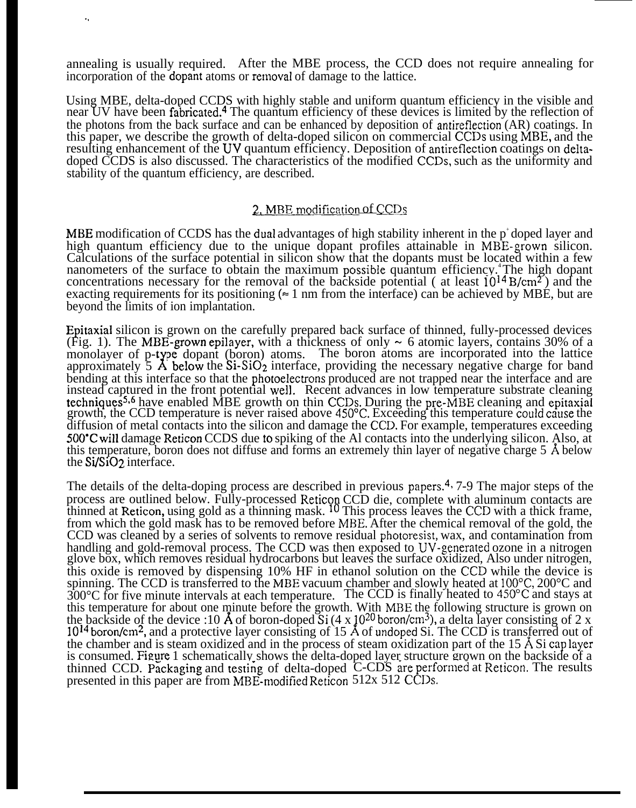annealing is usually required. After the MBE process, the CCD does not require annealing for incorporation of the dopant atoms or removal of damage to the lattice.

. .

Using MBE, delta-doped CCDS with highly stable and uniform quantum efficiency in the visible and near UV have been fabricated.<sup>4</sup> The quantum efficiency of these devices is limited by the reflection of the photons from the back surface and can be enhanced by deposition of antireflection (AR) coatings. In this paper, we describe the growth of delta-doped silicon on commercial CCDS using MBE, and the resulting enhancement of the UV quantum efficiency. Deposition of antireflection coatings on deltadoped CCDS is also discussed. The characteristics of the modified CCDS, such as the uniformity and stability of the quantum efficiency, are described.

### 2. MBE modification of CCDs

MBE modification of CCDS has the dual advantages of high stability inherent in the  $p^*$  doped layer and high quantum efficiency due to the unique dopant profiles attainable in MBE-grown silicon. Calculations of the surface potential in silicon show that the dopants must be located within a few nanometers of the surface to obtain the maximum possible quantum efficiency.<sup>4</sup>The high dopant concentrations necessary for the removal of the backside potential ( at least  $10^{14}$  B/cm<sup>2</sup>) and the exacting requirements for its positioning  $(= 1 \text{ nm from the interface})$  can be achieved by MBE, but are beyond the limits of ion implantation.

Epitaxial silicon is grown on the carefully prepared back surface of thinned, fully-processed devices (Fig. 1). The MBE-grown epilayer, with a thickness of only  $\sim 6$  atomic layers, contains 30% of a monolayer of p-type dopant (boron) atoms. The boron atoms are incorporated into the lattice monolayer of p-type dopant (boron) atoms. The boron atoms are incorporated into the lattice<br>approximately 5 Å below the Si-SiO<sub>2</sub> interface, providing the necessary negative charge for band bending at this interface so that the photoelectrons produced are not trapped near the interface and are instead captured in the front potential well. Recent advances in low temperature substrate cleaning techniques<sup>5,6</sup> have enabled MBE growth on thin CCDs. During the pre-MBE cleaning and epitaxial growth, the CCD temperature is never raised above 450°C. Exceeding this temperature could cause the diffusion of metal contacts into the silicon and damage the CCD. For example, temperatures exceeding 500"C will damage Reticon CCDS due to spiking of the Al contacts into the underlying silicon. Also, at this temperature, boron does not diffuse and forms an extremely thin layer of negative charge 5  $\AA$  below the Si/Si02 interface.

The details of the delta-doping process are described in previous papers.<sup>4</sup>, 7-9 The major steps of the process are outlined below. Fully-processed Reticon CCD die, complete with aluminum contacts are thinned at Reticon, using gold as a thinning mask. <sup>10</sup> This process leaves the CCD with a thick frame, from which the gold mask has to be removed before M13E. After the chemical removal of the gold, the CCD was cleaned by a series of solvents to remove residual photoresist, wax, and contamination from handling and gold-removal process. The CCD was then exposed to UV-generated ozone in a nitrogen glove box, which removes residual hydrocarbons but leaves the surface oxidized, Also under nitrogen, this oxide is removed by dispensing 10% HF in ethanol solution on the CCD while the device is spinning. The CCD is transferred to the MBE vacuum chamber and slowly heated at 100°C, 200°C and 300 °C for five minute intervals at each temperature. The CCD is finally heated to 450 °C and stays at this temperature for about one minute before the growth. With MBE the following structure is grown on the backside of the device :10 Å of boron-doped Si (4 x 10<sup>20</sup> boron/cm<sup>3</sup>), a delta layer consisting of 2 x 10<sup>14</sup> boron/cm<sup>2</sup>, and a protective layer consisting of 15 Å of undoped Si. The CCD is transferred out of the chamber and is steam oxidized and in the process of steam oxidization part of the  $15 \text{ Å } Si$  cap layer is consumed. Figure 1 schematically shows the delta-doped layer structure grown on the backside of a thinned CCD. Packaging and testing of delta-doped C-CDS are performed at Reticon. The results presented in this paper are from MBE-modified Reticon 512x 512 CCDs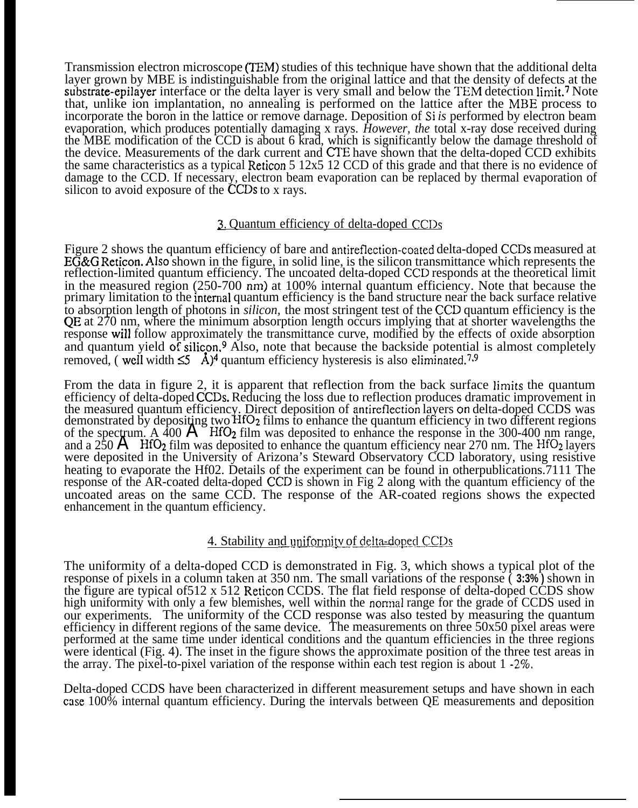Transmission electron microscope (TEM) studies of this technique have shown that the additional delta layer grown by MBE is indistinguishable from the original lattice and that the density of defects at the substrate-epilayer interface or the delta layer is very small and below the TEM detection limit.7 Note that, unlike ion implantation, no annealing is performed on the lattice after the MBE process to incorporate the boron in the lattice or remove darnage. Deposition of *Si is* performed by electron beam evaporation, which produces potentially damaging x rays. *However, the* total x-ray dose received during the MBE modification of the CCD is about 6 krad, which is significantly below the damage threshold of the device. Measurements of the dark current and CI'E have shown that the delta-doped CCD exhibits the same characteristics as a typical Reticon 5 12x5 12 CCD of this grade and that there is no evidence of damage to the CCD. If necessary, electron beam evaporation can be replaced by thermal evaporation of silicon to avoid exposure of the CCDs to x rays.

## 3. Quantum efficiency of delta-doped CCDs

Figure 2 shows the quantum efficiency of bare and antireflection-coated delta-doped CCDS measured at  $E\overline{G}\&G$  Reticon. Also shown in the figure, in solid line, is the silicon transmittance which represents the reflection-limited quantum efficiency. The uncoated delta-doped CCD responds at the theoretical limit in the measured region (250-700 nm) at 100% internal quantum efficiency. Note that because the primary limitation to the interrial quantum efficiency is the band structure near the back surface relative to absorption length of photons in *silicon,* the most stringent test of the CCD quantum efficiency is the QE at 270 nm, where the minimum absorption length occurs implying that at shorter wavelengths the response will follow approximately the transmittance curve, modified by the effects of oxide absorption and quantum yield of silicon.<sup>9</sup> Also, note that because the backside potential is almost completely removed, (well width  $\leq 5$  Å)<sup>4</sup> quantum efficiency hysteresis is also eliminated.<sup>7,9</sup>

From the data in figure 2, it is apparent that reflection from the back surface limits the quantum efficiency of delta-doped CCDS. Reducing the loss due to reflection produces dramatic improvement in the measured quantum efficiency. Direct deposition of antireflection layers on delta-doped CCDS was demonstrated by depositing two HfO<sub>2</sub> films to enhance the quantum efficiency in two different regions of the spectrum. A 400  $\text{A}$  HfO<sub>2</sub> film was deposited to enhance the response in the 300-400 nm range, and a  $250 \text{ Å}$  HfO<sub>2</sub> film was deposited to enhance the quantum efficiency near 270 nm. The HfO<sub>2</sub> layers were deposited in the University of Arizona's Steward Observatory CCD laboratory, using resistive heating to evaporate the Hf02. Details of the experiment can be found in otherpublications. 7111 The response of the AR-coated delta-doped CCD is shown in Fig 2 along with the quantum efficiency of the uncoated areas on the same CCD. The response of the AR-coated regions shows the expected enhancement in the quantum efficiency.

## 4. Stability and uniformity of delta-doped CCDs

The uniformity of a delta-doped CCD is demonstrated in Fig. 3, which shows a typical plot of the response of pixels in a column taken at 350 nm. The small variations of the response ( **3:3% )** shown in the figure are typical of512 x 512 Reticon CCDS. The flat field response of delta-doped CCDS show high uniformity with only a few blemishes, well within the normal range for the grade of CCDS used in our experiments. The uniformity of the CCD response was also tested by measuring the quantum efficiency in different regions of the same device. The measurements on three 50x50 pixel areas were performed at the same time under identical conditions and the quantum efficiencies in the three regions were identical (Fig. 4). The inset in the figure shows the approximate position of the three test areas in the array. The pixel-to-pixel variation of the response within each test region is about 1 **-2Y0.**

Delta-doped CCDS have been characterized in different measurement setups and have shown in each case 100% internal quantum efficiency. During the intervals between QE measurements and deposition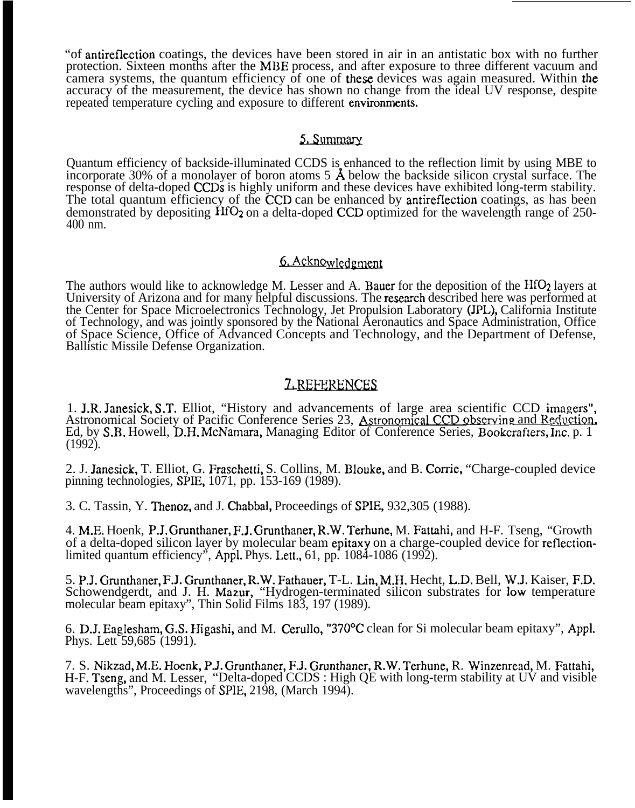"of antireflection coatings, the devices have been stored in air in an antistatic box with no further protection. Sixteen months after the MBE process, and after exposure to three different vacuum and camera systems, the quantum efficiency of one of these devices was again measured. Within the accuracy of the measurement, the device has shown no change from the ideal UV response, despite repeated temperature cycling and exposure to different environments.

## 5. Summary

Quantum efficiency of backside-illuminated CCDS is enhanced to the reflection limit by using MBE to incorporate 30% of a monolayer of boron atoms  $5 \text{ Å}$  below the backside silicon crystal surface. The response of delta-doped CCDs is highly uniform and these devices have exhibited long-term stability. The total quantum efficiency of the CCD can be enhanced by antireflection coatings, as has been demonstrated by depositing  $\text{HfO}_2$  on a delta-doped CCD optimized for the wavelength range of 250-400 nm.

# 6. Acknowledgment

The authors would like to acknowledge M. Lesser and A. Bauer for the deposition of the HfO<sub>2</sub> layers at University of Arizona and for many helpful discussions. The research described here was performed at the Center for Space Microelectronics Technology, Jet Propulsion Laboratory (JPL), California Institute of Technology, and was jointly sponsored by the National Aeronautics and Space Administration, Office of Space Science, Office of Advanced Concepts and Technology, and the Department of Defense, Ballistic Missile Defense Organization.

## LREFERENCES

1. J.R. Janesick, S.T. Elliot, "History and advancements of large area scientific CCD imagers", Astronomical Society of Pacific Conference Series 23, Astronomical CCD observing and Reduction. Ed, by S.B. Howell, D.H. McNamara, Managing Editor of Conference Series, Bookcrafters, Inc. p. 1 (1992).

2. J. Janesick, T. Elliot, G. Fraschetti, S. Collins, M. Blouke, and B. Corrie, "Charge-coupled device pinning technologies, SPIE, 1071, pp. 153-169 (1989).

3. C. Tassin, Y. Thenoz, and J. Chabbal, Proceedings of SPIE, 932,305 (1988).

4. M.E. Hoenk, P.J. Grunthaner, F.J. Grunthaner, R.W. Terhune, M. Fattahi, and H-F. Tseng, "Growth of a delta-doped silicon layer by molecular beam epitaxy on a charge-coupled device for reflectionlimited quantum efficiency", Appl. Phys. Lett., 61, pp. 1084-1086 (1992).

5. P.J. Grunthaner, F.J. Grunthaner, R.W. Fathauer, T-L. Lin, M.H. Hecht, L.D. Bell, W.J. Kaiser, F,D. Schowendgerdt, and J. H. Mazur, "Hydrogen-terminated silicon substrates for low temperature molecular beam epitaxy", Thin Solid Films 183, 197 (1989).

6. D.J. Eaglesham, G.S. Higashi, and M. Cerullo, "370"C clean for Si molecular beam epitaxy", Appl. Phys. Lett 59,685 (1991).

7. S. Nikzad, M.E. Hoenk, P.J. Grunthaner, F.J. Grunthaner, R.W. Terhune, R. Winzenread, M. Fattahi, H-F. Tseng, and M. Lesser, "Delta-doped CCDS : High QE with long-term stability at UV and visible wavelengths", Proceedings of SPIE, 2198, (March 1994).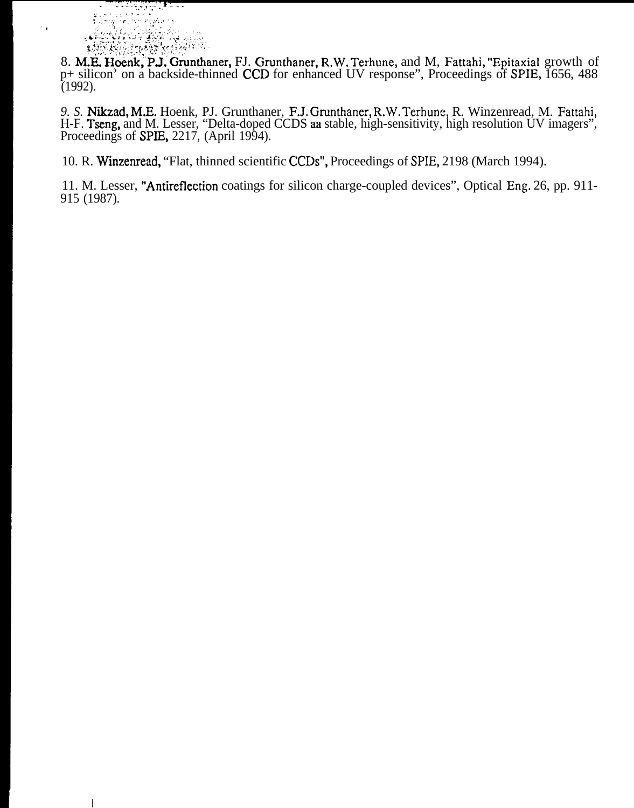

**I**

8. M.E. Hoenk, P.J. Grunthaner, FJ. Grunthaner, R.W. Terhune, and M, Fattahi, "Epitaxial growth of p+ silicon' on a backside-thinned CCD for enhanced UV response", Proceedings of SPIE, 1656, 488 (1992).

9. S. Nikzad, M.E. Hoenk, PJ. Grunthaner, F.J. Grunthaner, R.W. Terhune, R. Winzenread, M. Fattahi, H-F. Tseng, and M. Lesser, "Delta-doped CCDS aa stable, high-sensitivity, high resolution UV imagers", Proceedings of **SPIE**, 2217, (April 1994).

10. R. Winzenread, "Flat, thinned scientific CCDS", Proceedings of SPIE, 2198 (March 1994).

11. M. Lesser, "Antireflection coatings for silicon charge-coupled devices", Optical Eng, 26, pp. 911- 915 (1987).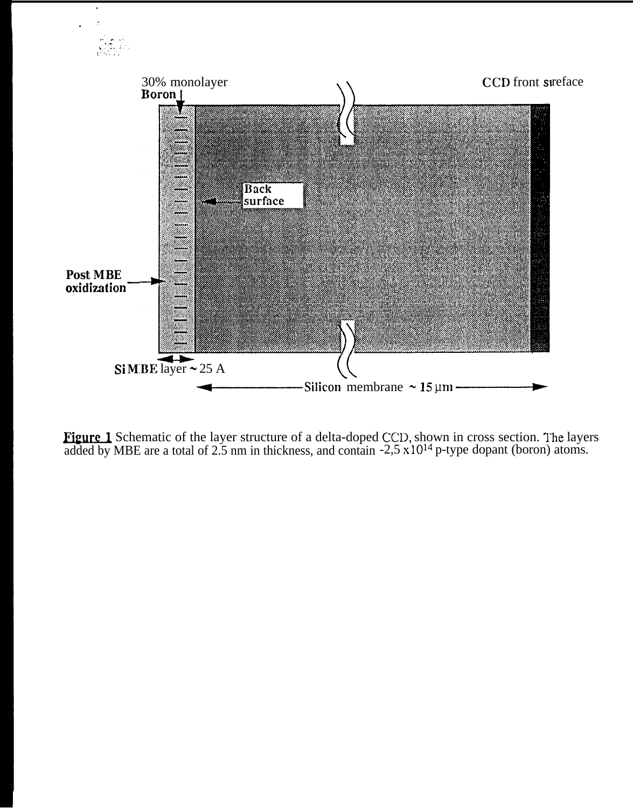

**Figure 1** Schematic of the layer structure of a delta-doped CCD, shown in cross section. The layers added by MBE are a total of 2.5 nm in thickness, and contain  $-2.5 \times 10^{14}$  p-type dopant (boron) atoms.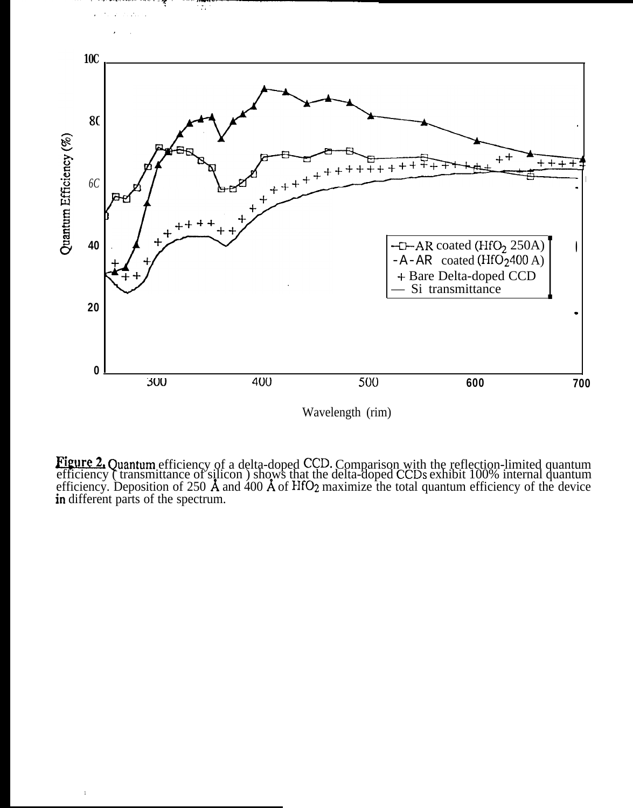

ाद्

Wavelength (rim)

**Figure 2.** Quantum efficiency of a delta-doped CCD. Comparison with the reflection-limited quantum efficiency (transmittance of silicon) shows that the delta-doped CCDs exhibit 100% internal quantum efficiency. Depositio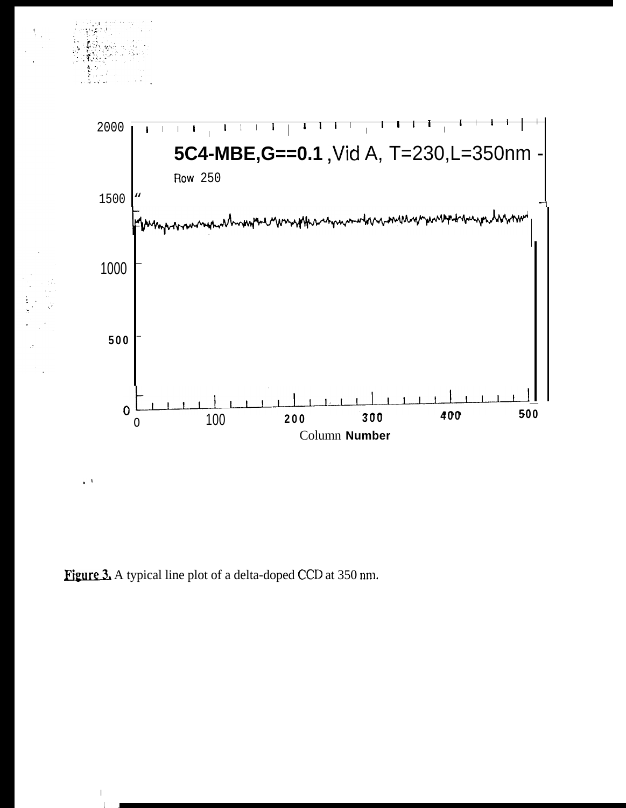

Figure 3. A typical line plot of a delta-doped CCD at 350 nm.

р, I